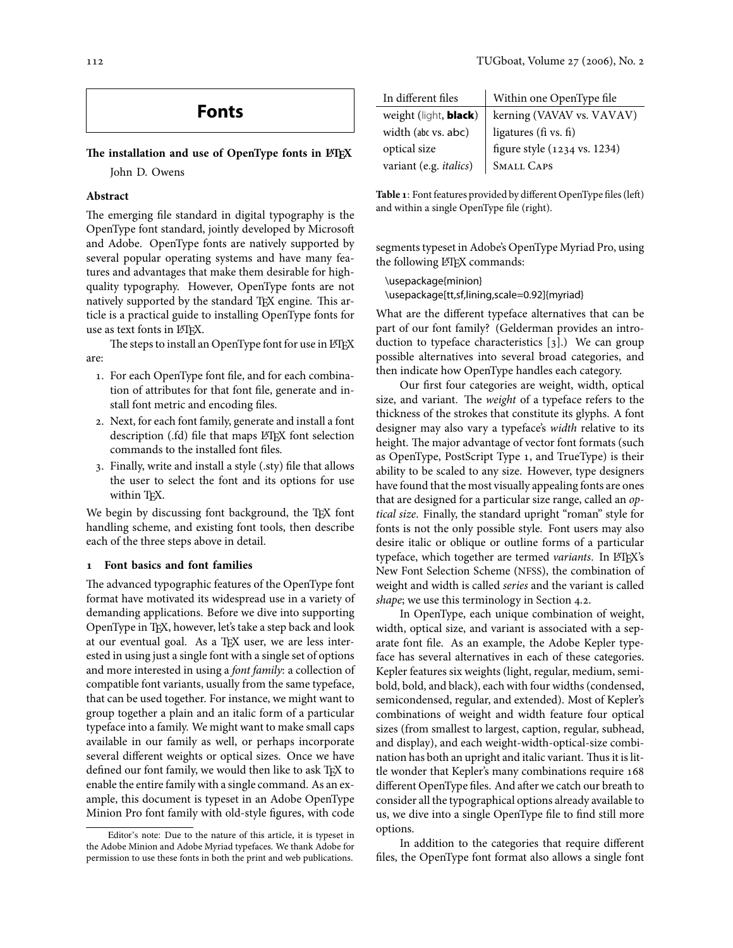# **Fonts**

# The installation and use of OpenType fonts in  $\text{E}\text{E}\text{X}$

John D. Owens

# **Abstract**

The emerging file standard in digital typography is the OpenType font standard, jointly developed by Microso and Adobe. OpenType fonts are natively supported by several popular operating systems and have many features and advantages that make them desirable for highquality typography. However, OpenType fonts are not natively supported by the standard TEX engine. This article is a practical guide to installing OpenType fonts for use as text fonts in LHEX.

The steps to install an OpenType font for use in LATEX are:

- . For each OpenType font file, and for each combination of attributes for that font file, generate and install font metric and encoding files.
- . Next, for each font family, generate and install a font description (.fd) file that maps LATEX font selection commands to the installed font files.
- . Finally, write and install a style (.sty) file that allows the user to select the font and its options for use within T<sub>F</sub>X.

We begin by discussing font background, the TEX font handling scheme, and existing font tools, then describe each of the three steps above in detail.

# <span id="page-0-1"></span> **Font basics and font families**

The advanced typographic features of the OpenType font format have motivated its widespread use in a variety of demanding applications. Before we dive into supporting OpenType in TEX, however, let's take a step back and look at our eventual goal. As a TEX user, we are less interested in using just a single font with a single set of options and more interested in using a font family: a collection of compatible font variants, usually from the same typeface, that can be used together. For instance, we might want to group together a plain and an italic form of a particular typeface into a family. We might want to make small caps available in our family as well, or perhaps incorporate several different weights or optical sizes. Once we have defined our font family, we would then like to ask TFX to enable the entire family with a single command. As an example, this document is typeset in an Adobe OpenType Minion Pro font family with old-style figures, with code

| In different files             | Within one OpenType file     |
|--------------------------------|------------------------------|
| weight (light, <b>black</b> )  | kerning (VAVAV vs. VAVAV)    |
| width (abc vs. abc)            | ligatures (fi vs. fi)        |
| optical size                   | figure style (1234 vs. 1234) |
| variant (e.g. <i>italics</i> ) | <b>SMALL CAPS</b>            |

<span id="page-0-0"></span>Table 1: Font features provided by different OpenType files (left) and within a single OpenType file (right).

segments typeset in Adobe's OpenType Myriad Pro, using the following LATEX commands:

\usepackage{minion} \usepackage[tt,sf,lining,scale=0.92]{myriad}

What are the different typeface alternatives that can be part of our font family? (Gelderman provides an introduction to typeface characteristics  $[g]$ .) We can group possible alternatives into several broad categories, and then indicate how OpenType handles each category.

Our first four categories are weight, width, optical size, and variant. The weight of a typeface refers to the thickness of the strokes that constitute its glyphs. A font designer may also vary a typeface's width relative to its height. The major advantage of vector font formats (such as OpenType, PostScript Type 1, and TrueType) is their ability to be scaled to any size. However, type designers have found that the most visually appealing fonts are ones that are designed for a particular size range, called an optical size. Finally, the standard upright "roman" style for fonts is not the only possible style. Font users may also desire italic or oblique or outline forms of a particular typeface, which together are termed variants. In LATEX's New Font Selection Scheme (NFSS), the combination of weight and width is called series and the variant is called shape; we use this terminology in Section 4.2.

In OpenType, each unique combination of weight, width, optical size, and variant is associated with a separate font file. As an example, the Adobe Kepler typeface has several alternatives in each of these categories. Kepler features six weights (light, regular, medium, semibold, bold, and black), each with four widths (condensed, semicondensed, regular, and extended). Most of Kepler's combinations of weight and width feature four optical sizes (from smallest to largest, caption, regular, subhead, and display), and each weight-width-optical-size combination has both an upright and italic variant. Thus it is little wonder that Kepler's many combinations require 168 different OpenType files. And after we catch our breath to consider all the typographical options already available to us, we dive into a single OpenType file to find still more options.

In addition to the categories that require different files, the OpenType font format also allows a single font

Editor's note: Due to the nature of this article, it is typeset in the Adobe Minion and Adobe Myriad typefaces. We thank Adobe for permission to use these fonts in both the print and web publications.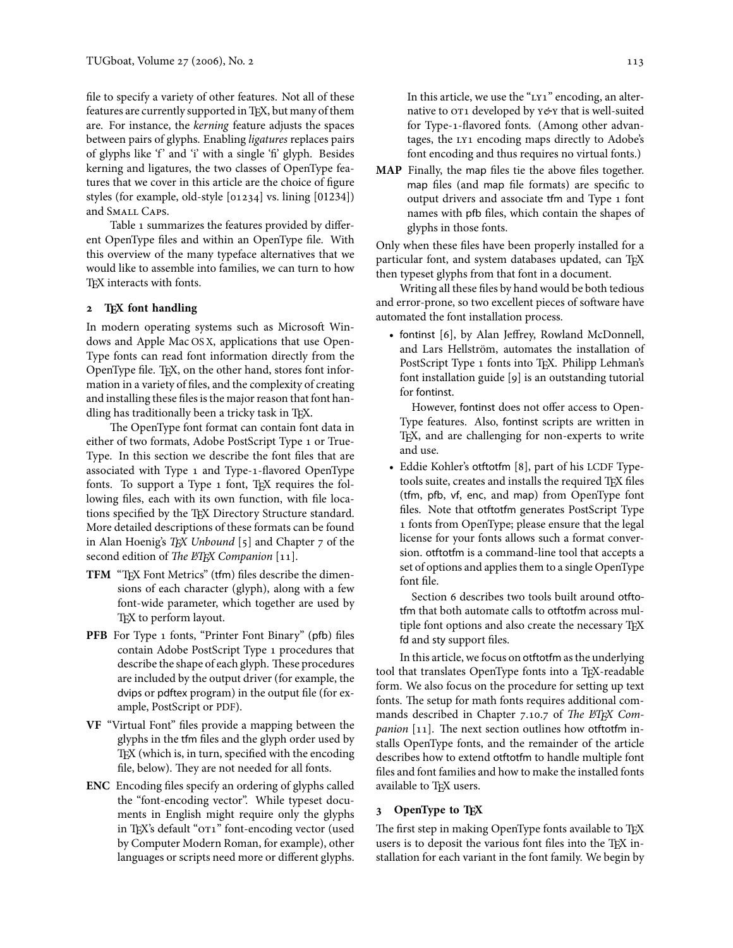file to specify a variety of other features. Not all of these features are currently supported in TEX, but many of them are. For instance, the kerning feature adjusts the spaces between pairs of glyphs. Enabling ligatures replaces pairs of glyphs like 'f' and 'i' with a single 'fi' glyph. Besides kerning and ligatures, the two classes of OpenType features that we cover in this article are the choice of figure styles (for example, old-style [01234] vs. lining [01234]) and SMALL CAPS.

Table 1 summarizes the features provided by different OpenType files and within an OpenType file. With this overview of the many typeface alternatives that we would like to assemble into families, we can turn to how TEX interacts with fonts.

# <span id="page-1-0"></span>**2** T<sub>E</sub>X font handling

In modern operating systems such as Microsoft Windows and Apple Mac OS X, applications that use Open-Type fonts can read font information directly from the OpenType file. TEX, on the other hand, stores font information in a variety of files, and the complexity of creating and installing these files is the major reason that font handling has traditionally been a tricky task in TFX.

The OpenType font format can contain font data in either of two formats, Adobe PostScript Type 1 or True-Type. In this section we describe the font files that are associated with Type 1 and Type-1-flavored OpenType fonts. To support a Type 1 font, TEX requires the following files, each with its own function, with file locations specified by the TEX Directory Structure standard. More detailed descriptions of these formats can be found in Alan Hoenig's TEX Unbound  $[5]$  and Chapter 7 of the second edition of The ETEX Companion  $[11]$ .

- **TFM** "TEX Font Metrics" (tfm) files describe the dimensions of each character (glyph), along with a few font-wide parameter, which together are used by T<sub>E</sub>X to perform layout.
- **PFB** For Type 1 fonts, "Printer Font Binary" (pfb) files contain Adobe PostScript Type 1 procedures that describe the shape of each glyph. These procedures are included by the output driver (for example, the dvips or pdftex program) in the output file (for example, PostScript or PDF).
- **VF** "Virtual Font" files provide a mapping between the glyphs in the tfm files and the glyph order used by TEX (which is, in turn, specified with the encoding file, below). They are not needed for all fonts.
- **ENC** Encoding files specify an ordering of glyphs called the "font-encoding vector". While typeset documents in English might require only the glyphs in TEX's default "OT1" font-encoding vector (used by Computer Modern Roman, for example), other languages or scripts need more or different glyphs.

In this article, we use the "LY1" encoding, an alternative to  $\overline{or_1}$  developed by  $\overline{r}$  were that is well-suited for Type-1-flavored fonts. (Among other advantages, the LY1 encoding maps directly to Adobe's font encoding and thus requires no virtual fonts.)

**MAP** Finally, the map files tie the above files together. map files (and map file formats) are specific to output drivers and associate tfm and Type 1 font names with pfb files, which contain the shapes of glyphs in those fonts.

Only when these files have been properly installed for a particular font, and system databases updated, can TEX then typeset glyphs from that font in a document.

Writing all these files by hand would be both tedious and error-prone, so two excellent pieces of software have automated the font installation process.

• fontinst [6], by Alan Jeffrey, Rowland McDonnell, and Lars Hellström, automates the installation of PostScript Type 1 fonts into T<sub>E</sub>X. Philipp Lehman's font installation guide  $[g]$  is an outstanding tutorial for fontinst.

However, fontinst does not offer access to Open-Type features. Also, fontinst scripts are written in TEX, and are challenging for non-experts to write and use.

• Eddie Kohler's otftotfm [8], part of his LCDF Typetools suite, creates and installs the required TEX files (tfm, pfb, vf, enc, and map) from OpenType font files. Note that otftotfm generates PostScript Type 1 fonts from OpenType; please ensure that the legal license for your fonts allows such a format conversion. otftotfm is a command-line tool that accepts a set of options and applies them to a single OpenType font file.

Section 6 describes two tools built around otftotfm that both automate calls to otftotfm across multiple font options and also create the necessary TEX fd and sty support files.

In this article, we focus on otftotfm as the underlying tool that translates OpenType fonts into a TEX-readable form. We also focus on the procedure for setting up text fonts. The setup for math fonts requires additional commands described in Chapter 7.10.7 of The ETFX Companion  $[11]$ . The next section outlines how otftotfm installs OpenType fonts, and the remainder of the article describes how to extend otftotfm to handle multiple font files and font families and how to make the installed fonts available to TFX users.

## <span id="page-1-1"></span> **OpenType to TEX**

The first step in making OpenType fonts available to TEX users is to deposit the various font files into the T<sub>E</sub>X installation for each variant in the font family. We begin by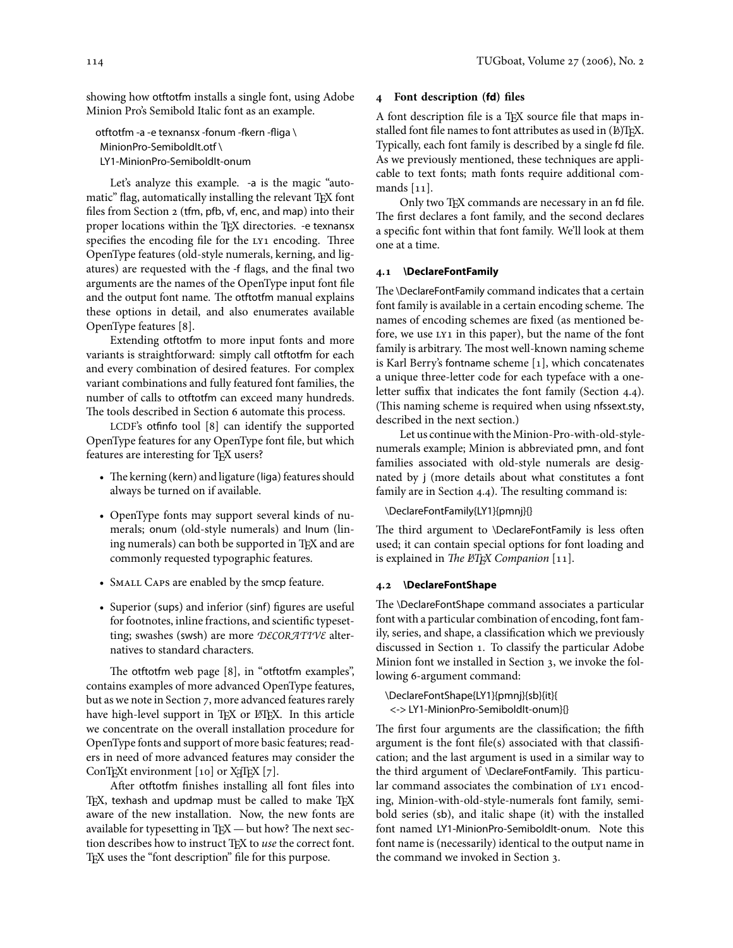showing how otftotfm installs a single font, using Adobe Minion Pro's Semibold Italic font as an example.

otftotfm -a -e texnansx -fonum -fkern -fliga \ MinionPro-SemiboldIt.otf \ LY1-MinionPro-SemiboldIt-onum

Let's analyze this example. -a is the magic "automatic" flag, automatically installing the relevant TEX font files from Section 2 (tfm, pfb, vf, enc, and map) into their proper locations within the TEX directories. -e texnansx specifies the encoding file for the LY1 encoding. Three OpenType features (old-style numerals, kerning, and ligatures) are requested with the -f flags, and the final two arguments are the names of the OpenType input font file and the output font name. The otftotfm manual explains these options in detail, and also enumerates available OpenType features [8].

Extending otftotfm to more input fonts and more variants is straightforward: simply call otftotfm for each and every combination of desired features. For complex variant combinations and fully featured font families, the number of calls to otftotfm can exceed many hundreds. The tools described in Section 6 automate this process.

LCDF's otfinfo tool  $[8]$  can identify the supported OpenType features for any OpenType font file, but which features are interesting for TFX users?

- The kerning (kern) and ligature (liga) features should always be turned on if available.
- OpenType fonts may support several kinds of numerals; onum (old-style numerals) and lnum (lining numerals) can both be supported in TFX and are commonly requested typographic features.
- SMALL CAPS are enabled by the smcp feature.
- Superior (sups) and inferior (sinf) figures are useful for footnotes, inline fractions, and scientific typesetting; swashes (swsh) are more DECORATIVE alternatives to standard characters.

The otftotfm web page [8], in "otftotfm examples", contains examples of more advanced OpenType features, but as we note in Section 7[,](#page-5-1) more advanced features rarely have high-level support in TEX or LATEX. In this article we concentrate on the overall installation procedure for OpenType fonts and support of more basic features; readers in need of more advanced features may consider the ConTEXt environment  $[10]$  or X<sub>I</sub>TEX  $[7]$ .

After otftotfm finishes installing all font files into TEX, texhash and updmap must be called to make TEX aware of the new installation. Now, the new fonts are available for typesetting in TEX  $-$  but how? The next section describes how to instruct TFX to use the correct font. T<sub>EX</sub> uses the "font description" file for this purpose.

# <span id="page-2-1"></span> **Font description (fd) files**

A font description file is a TEX source file that maps installed font file names to font attributes as used in (P)TEX. Typically, each font family is described by a single fd file. As we previously mentioned, these techniques are applicable to text fonts; math fonts require additional commands  $[11]$ .

Only two T<sub>F</sub>X commands are necessary in an fd file. The first declares a font family, and the second declares a specific font within that font family. We'll look at them one at a time.

### **. \DeclareFontFamily**

The \DeclareFontFamily command indicates that a certain font family is available in a certain encoding scheme. The names of encoding schemes are fixed (as mentioned before, we use LY1 in this paper), but the name of the font family is arbitrary. The most well-known naming scheme is Karl Berry's fontname scheme  $[1]$ , which concatenates a unique three-letter code for each typeface with a oneletter suffix that indicates the font family (Section 4.4). (This naming scheme is required when using nfssext.sty, described in the next section.)

Let us continue with the Minion-Pro-with-old-stylenumerals example; Minion is abbreviated pmn, and font families associated with old-style numerals are designated by j (more details about what constitutes a font family are in Section  $4.4$ ). The resulting command is:

#### \DeclareFontFamily{LY1}{pmnj}{}

The third argument to \DeclareFontFamily is less often used; it can contain special options for font loading and is explained in The  $E$ TFX Companion [11].

### <span id="page-2-0"></span>**. \DeclareFontShape**

The \DeclareFontShape command associates a particular font with a particular combination of encoding, font family, series, and shape, a classification which we previously discussed in Section 1[.](#page-0-1) To classify the particular Adobe Minion font we installed in Section 3[,](#page-1-1) we invoke the following 6-argument command:

\DeclareFontShape{LY1}{pmnj}{sb}{it}{ <-> LY1-MinionPro-SemiboldIt-onum}{}

The first four arguments are the classification; the fifth argument is the font file(s) associated with that classification; and the last argument is used in a similar way to the third argument of \DeclareFontFamily. This particular command associates the combination of LY1 encoding, Minion-with-old-style-numerals font family, semibold series (sb), and italic shape (it) with the installed font named LY1-MinionPro-SemiboldIt-onum. Note this font name is (necessarily) identical to the output name in the command we invoked in Section 3[.](#page-1-1)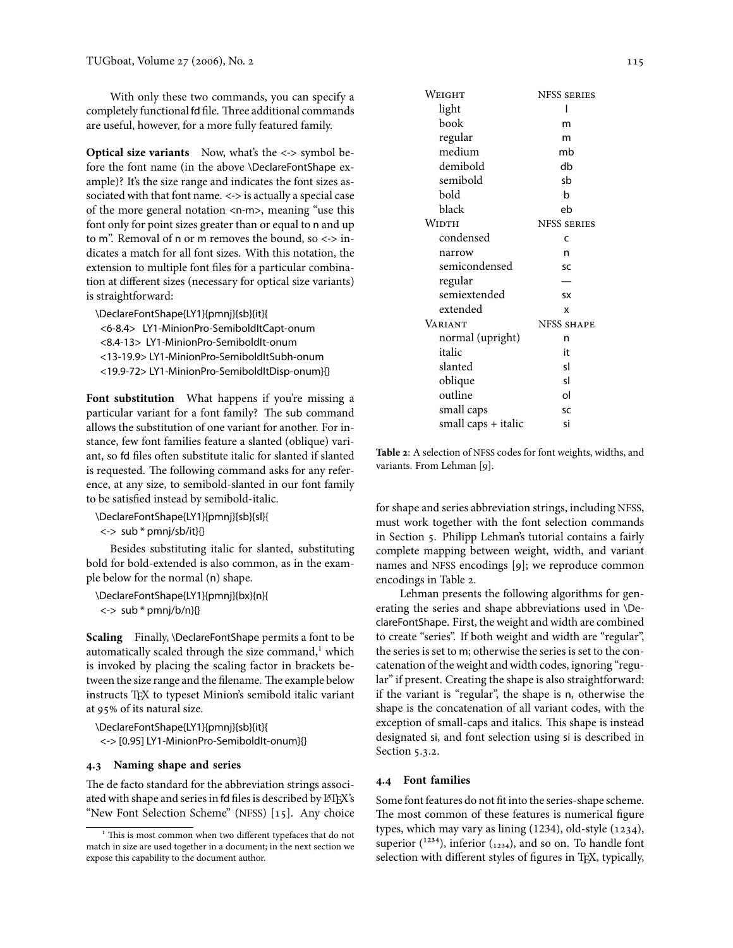With only these two commands, you can specify a completely functional fd file. Three additional commands are useful, however, for a more fully featured family.

**Optical size variants** Now, what's the <-> symbol before the font name (in the above \DeclareFontShape example)? It's the size range and indicates the font sizes associated with that font name. <-> is actually a special case of the more general notation <n-m>, meaning "use this font only for point sizes greater than or equal to n and up to m". Removal of n or m removes the bound, so  $\leftarrow$  > indicates a match for all font sizes. With this notation, the extension to multiple font files for a particular combination at different sizes (necessary for optical size variants) is straightforward:

\DeclareFontShape{LY1}{pmnj}{sb}{it}{ <6-8.4> LY1-MinionPro-SemiboldItCapt-onum <8.4-13> LY1-MinionPro-SemiboldIt-onum <13-19.9> LY1-MinionPro-SemiboldItSubh-onum <19.9-72> LY1-MinionPro-SemiboldItDisp-onum}{}

Font substitution What happens if you're missing a particular variant for a font family? The sub command allows the substitution of one variant for another. For instance, few font families feature a slanted (oblique) variant, so fd files often substitute italic for slanted if slanted is requested. The following command asks for any reference, at any size, to semibold-slanted in our font family to be satisfied instead by semibold-italic.

\DeclareFontShape{LY1}{pmnj}{sb}{sl}{

<-> sub \* pmnj/sb/it}{}

Besides substituting italic for slanted, substituting bold for bold-extended is also common, as in the example below for the normal (n) shape.

\DeclareFontShape{LY1}{pmnj}{bx}{n}{  $\langle$  -> sub \* pmnj/b/n}{}

**Scaling** Finally, \DeclareFontShape permits a font to be automatically scaled through the size command,<sup>1</sup> which is invoked by placing the scaling factor in brackets between the size range and the filename. The example below instructs TEX to typeset Minion's semibold italic variant at 95% of its natural size.

\DeclareFontShape{LY1}{pmnj}{sb}{it}{ <-> [0.95] LY1-MinionPro-SemiboldIt-onum}{}

# <span id="page-3-3"></span>**. Naming shape and series**

The de facto standard for the abbreviation strings associated with shape and series in fd files is described by LATEX's "New Font Selection Scheme" (NFSS) [15]. Any choice

| Weight              | <b>NFSS SERIES</b> |
|---------------------|--------------------|
| light               |                    |
| book                | m                  |
| regular             | m                  |
| medium              | mb                 |
| demibold            | db                 |
| semibold            | sb                 |
| bold                | h                  |
| black               | eb                 |
| Width               | <b>NESS SERIES</b> |
| condensed           | C                  |
| narrow              | n                  |
| semicondensed       | SC                 |
| regular             |                    |
| semiextended        | <b>SX</b>          |
| extended            | x                  |
| VARIANT             | <b>NFSS SHAPE</b>  |
| normal (upright)    | n                  |
| italic              | it                 |
| slanted             | s١                 |
| oblique             | sl                 |
| outline             | ol                 |
| small caps          | SC                 |
| small caps + italic | si                 |

<span id="page-3-2"></span>Table 2: A selection of NFSS codes for font weights, widths, and variants. From Lehman [9].

for shape and series abbreviation strings, including NFSS, must work together with the font selection commands in Section 5[.](#page-4-0) Philipp Lehman's tutorial contains a fairly complete mapping between weight, width, and variant names and NFSS encodings [9]; we reproduce common encodings in Table 2[.](#page-3-2)

Lehman presents the following algorithms for generating the series and shape abbreviations used in \DeclareFontShape. First, the weight and width are combined to create "series". If both weight and width are "regular", the series is set to m; otherwise the series is set to the concatenation of the weight and width codes, ignoring "regular" if present. Creating the shape is also straightforward: if the variant is "regular", the shape is n, otherwise the shape is the concatenation of all variant codes, with the exception of small-caps and italics. This shape is instead designated si, and font selection using si is described in Section 5.3.2.

### <span id="page-3-0"></span>**. Font families**

Some font features do not fit into the series-shape scheme. The most common of these features is numerical figure types, which may vary as lining  $(1234)$ , old-style  $(1234)$ , superior  $(^{1234})$ , inferior  $({}_{1234})$ , and so on. To handle font selection with different styles of figures in TEX, typically,

<span id="page-3-1"></span><sup>&</sup>lt;sup>1</sup> This is most common when two different typefaces that do not match in size are used together in a document; in the next section we expose this capability to the document author.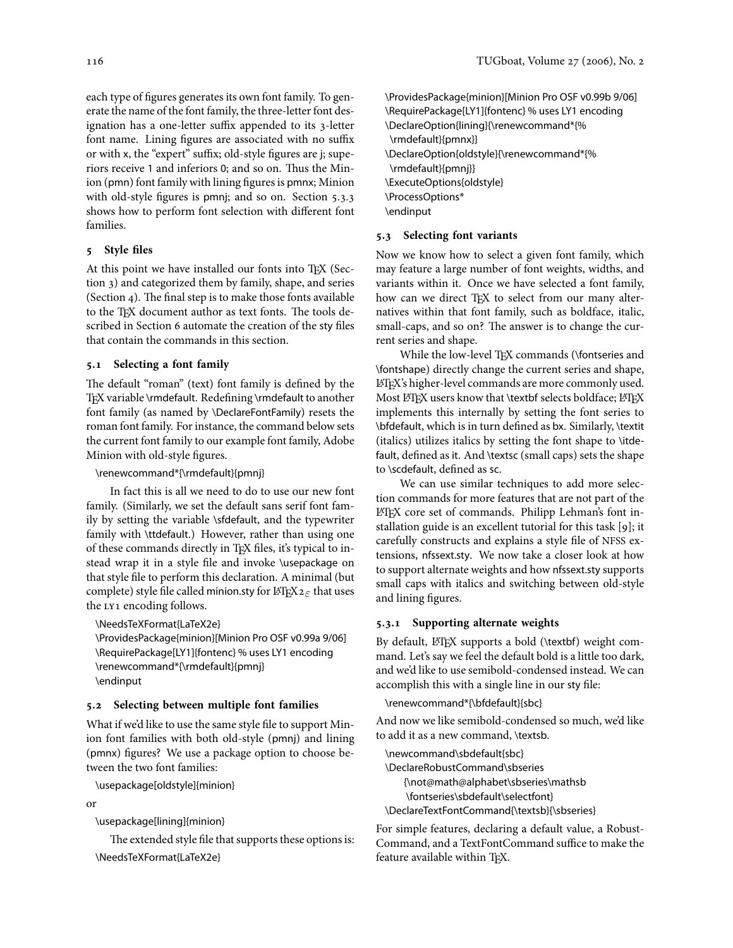each type of figures generates its own font family. To generate the name of the font family, the three-letter font designation has a one-letter suffix appended to its 3-letter font name. Lining figures are associated with no suffix or with x, the "expert" suffix; old-style figures are j; superiors receive 1 and inferiors 0; and so on. Thus the Minion (pmn) font family with lining figures is pmnx; Minion with old-style figures is pmnj; and so on. Section 5.3.3 shows how to perform font selection with different font families.

# <span id="page-4-0"></span> **Style files**

At this point we have installed our fonts into TEX (Sec-tion 3[\)](#page-1-1) and categorized them by family, shape, and series (Section 4[\)](#page-2-1). The final step is to make those fonts available to the TFX document author as text fonts. The tools described in Section 6 automate the creation of the sty files that contain the commands in this section.

### **. Selecting a font family**

The default "roman" (text) font family is defined by the TEX variable \rmdefault. Redefining \rmdefault to another font family (as named by \DeclareFontFamily) resets the roman font family. For instance, the command below sets the current font family to our example font family, Adobe Minion with old-style figures.

\renewcommand\*{\rmdefault}{pmnj}

In fact this is all we need to do to use our new font family. (Similarly, we set the default sans serif font family by setting the variable \sfdefault, and the typewriter family with \ttdefault.) However, rather than using one of these commands directly in TFX files, it's typical to instead wrap it in a style file and invoke \usepackage on that style file to perform this declaration. A minimal (but complete) style file called minion.sty for  $\mathbb{E} T \nvert X 2 \varepsilon$  that uses the LY1 encoding follows.

\NeedsTeXFormat{LaTeX2e}

\ProvidesPackage{minion}[Minion Pro OSF v0.99a 9/06] \RequirePackage[LY1]{fontenc} % uses LY1 encoding \renewcommand\*{\rmdefault}{pmnj} \endinput

# <span id="page-4-1"></span>**. Selecting between multiple font families**

What if we'd like to use the same style file to support Minion font families with both old-style (pmnj) and lining (pmnx) figures? We use a package option to choose between the two font families:

\usepackage[oldstyle]{minion}

or

\usepackage[lining]{minion}

The extended style file that supports these options is: \NeedsTeXFormat{LaTeX2e}

\ProvidesPackage{minion}[Minion Pro OSF v0.99b 9/06] \RequirePackage[LY1]{fontenc} % uses LY1 encoding \DeclareOption{lining}{\renewcommand\*{% \rmdefault}{pmnx}} \DeclareOption{oldstyle}{\renewcommand\*{% \rmdefault}{pmnj}} \ExecuteOptions{oldstyle} \ProcessOptions\* \endinput

# **. Selecting font variants**

Now we know how to select a given font family, which may feature a large number of font weights, widths, and variants within it. Once we have selected a font family, how can we direct TFX to select from our many alternatives within that font family, such as boldface, italic, small-caps, and so on? The answer is to change the current series and shape.

While the low-level TFX commands (\fontseries and \fontshape) directly change the current series and shape, LATEX's higher-level commands are more commonly used. Most LATEX users know that \textbf selects boldface; LATEX implements this internally by setting the font series to \bfdefault, which is in turn defined as bx. Similarly, \textit (italics) utilizes italics by setting the font shape to \itdefault, defined as it. And \textsc (small caps) sets the shape to \scdefault, defined as sc.

We can use similar techniques to add more selection commands for more features that are not part of the LATEX core set of commands. Philipp Lehman's font installation guide is an excellent tutorial for this task [9]; it carefully constructs and explains a style file of NFSS extensions, nfssext.sty. We now take a closer look at how to support alternate weights and how nfssext.sty supports small caps with italics and switching between old-style and lining figures.

# **.. Supporting alternate weights**

By default, LATEX supports a bold (\textbf) weight command. Let's say we feel the default bold is a little too dark, and we'd like to use semibold-condensed instead. We can accomplish this with a single line in our sty file:

\renewcommand\*{\bfdefault}{sbc}

And now we like semibold-condensed so much, we'd like to add it as a new command, \textsb.

\newcommand\sbdefault{sbc} \DeclareRobustCommand\sbseries {\not@math@alphabet\sbseries\mathsb \fontseries\sbdefault\selectfont} \DeclareTextFontCommand{\textsb}{\sbseries}

For simple features, declaring a default value, a Robust-Command, and a TextFontCommand suffice to make the feature available within TFX.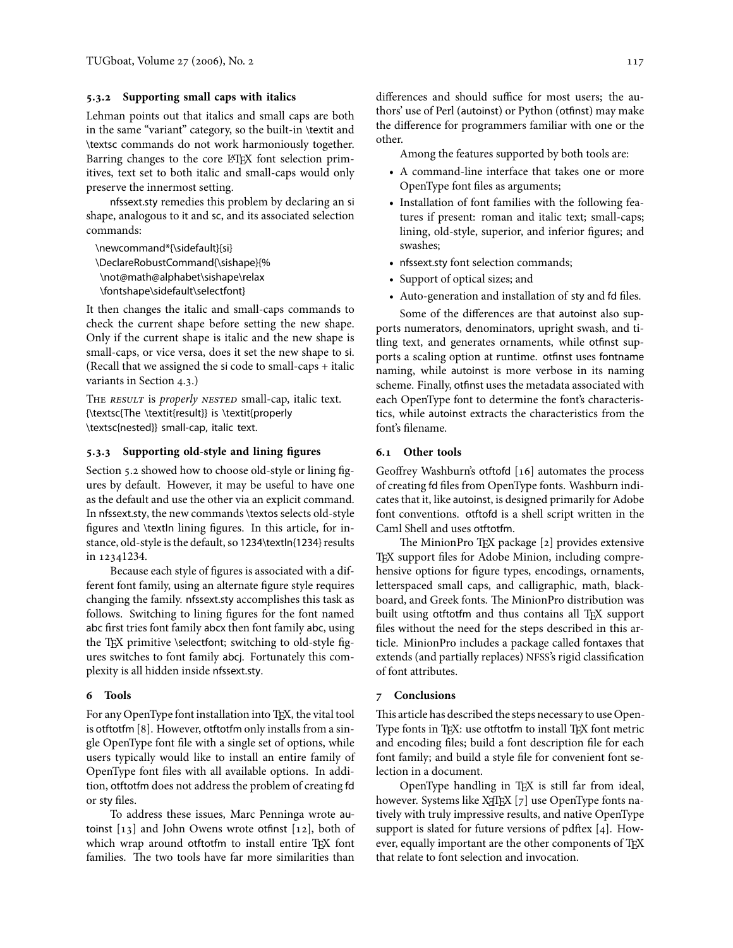# <span id="page-5-2"></span>**.. Supporting small caps with italics**

Lehman points out that italics and small caps are both in the same "variant" category, so the built-in \textit and \textsc commands do not work harmoniously together. Barring changes to the core LATEX font selection primitives, text set to both italic and small-caps would only preserve the innermost setting.

nfssext.sty remedies this problem by declaring an si shape, analogous to it and sc, and its associated selection commands:

\newcommand\*{\sidefault}{si} \DeclareRobustCommand{\sishape}{% \not@math@alphabet\sishape\relax \fontshape\sidefault\selectfont}

It then changes the italic and small-caps commands to check the current shape before setting the new shape. Only if the current shape is italic and the new shape is small-caps, or vice versa, does it set the new shape to si. (Recall that we assigned the si code to small-caps + italic variants in Section 4.3.)

THE RESULT is properly NESTED small-cap, italic text. {\textsc{The \textit{result}} is \textit{properly \textsc{nested}} small-cap, italic text.

### <span id="page-5-3"></span>**.. Supporting old-style and lining figures**

Section 5[.](#page-4-1)2 showed how to choose old-style or lining figures by default. However, it may be useful to have one as the default and use the other via an explicit command. In nfssext.sty, the new commands \textos selects old-style figures and \textln lining figures. In this article, for instance, old-style is the default, so 1234\textln{1234} results in 12341234.

Because each style of figures is associated with a different font family, using an alternate figure style requires changing the family. nfssext.sty accomplishes this task as follows. Switching to lining figures for the font named abc first tries font family abcx then font family abc, using the TEX primitive \selectfont; switching to old-style figures switches to font family abcj. Fortunately this complexity is all hidden inside nfssext.sty.

#### <span id="page-5-0"></span> **Tools**

For any OpenType font installation into TEX, the vital tool is otftotfm [8]. However, otftotfm only installs from a single OpenType font file with a single set of options, while users typically would like to install an entire family of OpenType font files with all available options. In addition, otftotfm does not address the problem of creating fd or sty files.

To address these issues, Marc Penninga wrote autoinst  $[13]$  and John Owens wrote otfinst  $[12]$ , both of which wrap around otftotfm to install entire TEX font families. The two tools have far more similarities than

differences and should suffice for most users; the authors' use of Perl (autoinst) or Python (otfinst) may make the difference for programmers familiar with one or the other.

Among the features supported by both tools are:

- A command-line interface that takes one or more OpenType font files as arguments;
- Installation of font families with the following features if present: roman and italic text; small-caps; lining, old-style, superior, and inferior figures; and swashes;
- nfssext.sty font selection commands;
- Support of optical sizes; and
- Auto-generation and installation of sty and fd files.

Some of the differences are that autoinst also supports numerators, denominators, upright swash, and titling text, and generates ornaments, while otfinst supports a scaling option at runtime. otfinst uses fontname naming, while autoinst is more verbose in its naming scheme. Finally, otfinst uses the metadata associated with each OpenType font to determine the font's characteristics, while autoinst extracts the characteristics from the font's filename.

### **. Other tools**

Geoffrey Washburn's otftofd [16] automates the process of creating fd files from OpenType fonts. Washburn indicates that it, like autoinst, is designed primarily for Adobe font conventions. otftofd is a shell script written in the Caml Shell and uses otftotfm.

The MinionPro TEX package [2] provides extensive TEX support files for Adobe Minion, including comprehensive options for figure types, encodings, ornaments, letterspaced small caps, and calligraphic, math, blackboard, and Greek fonts. The MinionPro distribution was built using otftotfm and thus contains all TFX support files without the need for the steps described in this article. MinionPro includes a package called fontaxes that extends (and partially replaces) NFSS's rigid classification of font attributes.

# <span id="page-5-1"></span> **Conclusions**

This article has described the steps necessary to use Open-Type fonts in TEX: use otftotfm to install TEX font metric and encoding files; build a font description file for each font family; and build a style file for convenient font selection in a document.

OpenType handling in TEX is still far from ideal, however. Systems like X<sub>I</sub>TEX [7] use OpenType fonts natively with truly impressive results, and native OpenType support is slated for future versions of pdftex [4]. However, equally important are the other components of TFX that relate to font selection and invocation.